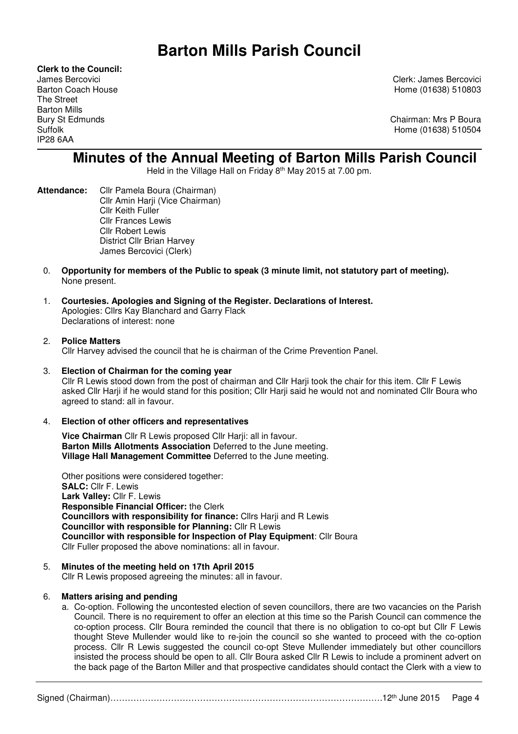# **Barton Mills Parish Council**

**Clerk to the Council:** The Street Barton Mills IP28 6AA

James Bercovici Clerk: James Bercovici Barton Coach House **Home (01638)** 510803

Bury St Edmunds **Chairman: Mrs P Boura** Suffolk Home (01638) 510504

# **Minutes of the Annual Meeting of Barton Mills Parish Council**

Held in the Village Hall on Friday 8th May 2015 at 7.00 pm.

- **Attendance:** Cllr Pamela Boura (Chairman) Cllr Amin Harji (Vice Chairman) Cllr Keith Fuller Cllr Frances Lewis Cllr Robert Lewis District Cllr Brian Harvey James Bercovici (Clerk)
	- 0. **Opportunity for members of the Public to speak (3 minute limit, not statutory part of meeting).** None present.
	- 1. **Courtesies. Apologies and Signing of the Register. Declarations of Interest.**  Apologies: Cllrs Kay Blanchard and Garry Flack Declarations of interest: none

# 2. **Police Matters**

Cllr Harvey advised the council that he is chairman of the Crime Prevention Panel.

- 3. **Election of Chairman for the coming year**  Cllr R Lewis stood down from the post of chairman and Cllr Harji took the chair for this item. Cllr F Lewis asked Cllr Harji if he would stand for this position; Cllr Harji said he would not and nominated Cllr Boura who agreed to stand: all in favour.
- 4. **Election of other officers and representatives**

**Vice Chairman** Cllr R Lewis proposed Cllr Harji: all in favour. **Barton Mills Allotments Association** Deferred to the June meeting. **Village Hall Management Committee** Deferred to the June meeting.

Other positions were considered together: **SALC:** Cllr F. Lewis **Lark Valley:** Cllr F. Lewis **Responsible Financial Officer:** the Clerk  **Councillors with responsibility for finance:** Cllrs Harji and R Lewis  **Councillor with responsible for Planning:** Cllr R Lewis **Councillor with responsible for Inspection of Play Equipment**: Cllr Boura Cllr Fuller proposed the above nominations: all in favour.

# 5. **Minutes of the meeting held on 17th April 2015**

Cllr R Lewis proposed agreeing the minutes: all in favour.

# 6. **Matters arising and pending**

a. Co-option. Following the uncontested election of seven councillors, there are two vacancies on the Parish Council. There is no requirement to offer an election at this time so the Parish Council can commence the co-option process. Cllr Boura reminded the council that there is no obligation to co-opt but Cllr F Lewis thought Steve Mullender would like to re-join the council so she wanted to proceed with the co-option process. Cllr R Lewis suggested the council co-opt Steve Mullender immediately but other councillors insisted the process should be open to all. Cllr Boura asked Cllr R Lewis to include a prominent advert on the back page of the Barton Miller and that prospective candidates should contact the Clerk with a view to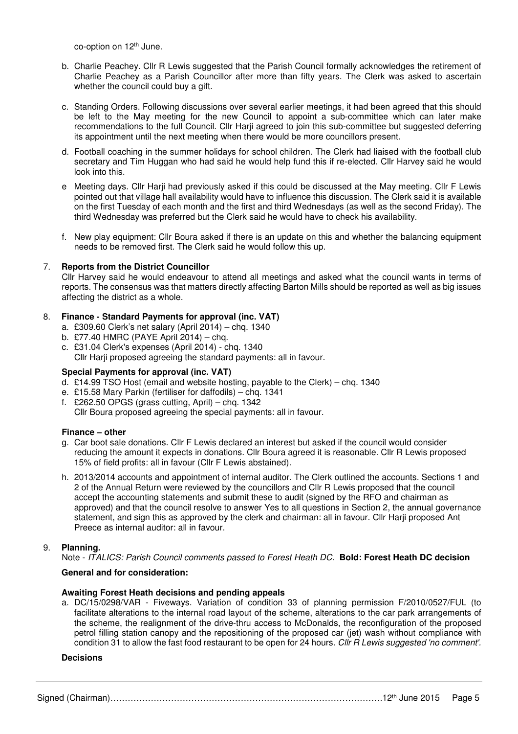co-option on 12<sup>th</sup> June.

- b. Charlie Peachey. Cllr R Lewis suggested that the Parish Council formally acknowledges the retirement of Charlie Peachey as a Parish Councillor after more than fifty years. The Clerk was asked to ascertain whether the council could buy a gift.
- c. Standing Orders. Following discussions over several earlier meetings, it had been agreed that this should be left to the May meeting for the new Council to appoint a sub-committee which can later make recommendations to the full Council. Cllr Harji agreed to join this sub-committee but suggested deferring its appointment until the next meeting when there would be more councillors present.
- d. Football coaching in the summer holidays for school children. The Clerk had liaised with the football club secretary and Tim Huggan who had said he would help fund this if re-elected. Cllr Harvey said he would look into this.
- e Meeting days. Cllr Harii had previously asked if this could be discussed at the May meeting. Cllr F Lewis pointed out that village hall availability would have to influence this discussion. The Clerk said it is available on the first Tuesday of each month and the first and third Wednesdays (as well as the second Friday). The third Wednesday was preferred but the Clerk said he would have to check his availability.
- f. New play equipment: Cllr Boura asked if there is an update on this and whether the balancing equipment needs to be removed first. The Clerk said he would follow this up.

# 7. **Reports from the District Councillor**

Cllr Harvey said he would endeavour to attend all meetings and asked what the council wants in terms of reports. The consensus was that matters directly affecting Barton Mills should be reported as well as big issues affecting the district as a whole.

#### 8. **Finance - Standard Payments for approval (inc. VAT)**

- a. £309.60 Clerk's net salary (April 2014) chq. 1340
- b. £77.40 HMRC (PAYE April 2014) chq.
- c. £31.04 Clerk's expenses (April 2014) chq. 1340 Cllr Harji proposed agreeing the standard payments: all in favour.

### **Special Payments for approval (inc. VAT)**

- d. £14.99 TSO Host (email and website hosting, payable to the Clerk) chq. 1340
- e. £15.58 Mary Parkin (fertiliser for daffodils) chq. 1341
- f. £262.50 OPGS (grass cutting, April) chq. 1342 Cllr Boura proposed agreeing the special payments: all in favour.

#### **Finance – other**

- g. Car boot sale donations. Cllr F Lewis declared an interest but asked if the council would consider reducing the amount it expects in donations. Cllr Boura agreed it is reasonable. Cllr R Lewis proposed 15% of field profits: all in favour (Cllr F Lewis abstained).
- h. 2013/2014 accounts and appointment of internal auditor. The Clerk outlined the accounts. Sections 1 and 2 of the Annual Return were reviewed by the councillors and Cllr R Lewis proposed that the council accept the accounting statements and submit these to audit (signed by the RFO and chairman as approved) and that the council resolve to answer Yes to all questions in Section 2, the annual governance statement, and sign this as approved by the clerk and chairman: all in favour. Cllr Harji proposed Ant Preece as internal auditor: all in favour.

#### 9. **Planning.**

Note - *ITALICS: Parish Council comments passed to Forest Heath DC.* **Bold: Forest Heath DC decision**

#### **General and for consideration:**

#### **Awaiting Forest Heath decisions and pending appeals**

a. DC/15/0298/VAR - Fiveways. Variation of condition 33 of planning permission F/2010/0527/FUL (to facilitate alterations to the internal road layout of the scheme, alterations to the car park arrangements of the scheme, the realignment of the drive-thru access to McDonalds, the reconfiguration of the proposed petrol filling station canopy and the repositioning of the proposed car (jet) wash without compliance with condition 31 to allow the fast food restaurant to be open for 24 hours. *Cllr R Lewis suggested 'no comment'.* 

#### **Decisions**

Signed (Chairman)………………………………………………………………………………………12<sup>th</sup> June 2015 Page 5